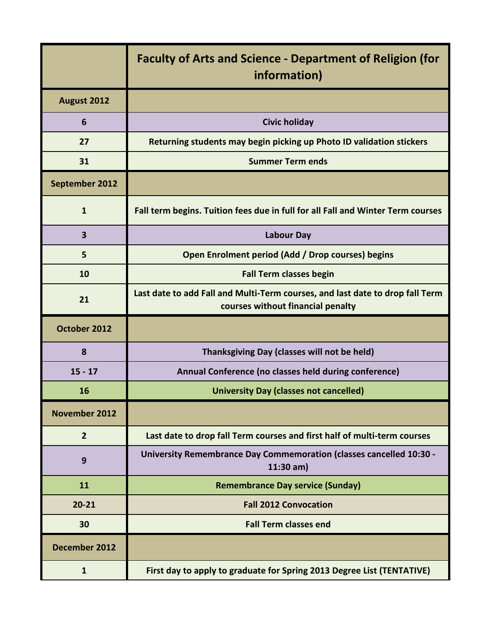|                         | <b>Faculty of Arts and Science - Department of Religion (for</b><br>information)                                   |
|-------------------------|--------------------------------------------------------------------------------------------------------------------|
| August 2012             |                                                                                                                    |
| 6                       | <b>Civic holiday</b>                                                                                               |
| 27                      | Returning students may begin picking up Photo ID validation stickers                                               |
| 31                      | <b>Summer Term ends</b>                                                                                            |
| September 2012          |                                                                                                                    |
| $\mathbf{1}$            | Fall term begins. Tuition fees due in full for all Fall and Winter Term courses                                    |
| $\overline{\mathbf{3}}$ | <b>Labour Day</b>                                                                                                  |
| 5                       | Open Enrolment period (Add / Drop courses) begins                                                                  |
| 10                      | <b>Fall Term classes begin</b>                                                                                     |
| 21                      | Last date to add Fall and Multi-Term courses, and last date to drop fall Term<br>courses without financial penalty |
| October 2012            |                                                                                                                    |
| 8                       | Thanksgiving Day (classes will not be held)                                                                        |
| $15 - 17$               | Annual Conference (no classes held during conference)                                                              |
| 16                      | <b>University Day (classes not cancelled)</b>                                                                      |
| <b>November 2012</b>    |                                                                                                                    |
| $\overline{2}$          | Last date to drop fall Term courses and first half of multi-term courses                                           |
| 9                       | <b>University Remembrance Day Commemoration (classes cancelled 10:30 -</b><br>$11:30$ am)                          |
| 11                      | <b>Remembrance Day service (Sunday)</b>                                                                            |
| $20 - 21$               | <b>Fall 2012 Convocation</b>                                                                                       |
| 30                      | <b>Fall Term classes end</b>                                                                                       |
| December 2012           |                                                                                                                    |
| 1                       | First day to apply to graduate for Spring 2013 Degree List (TENTATIVE)                                             |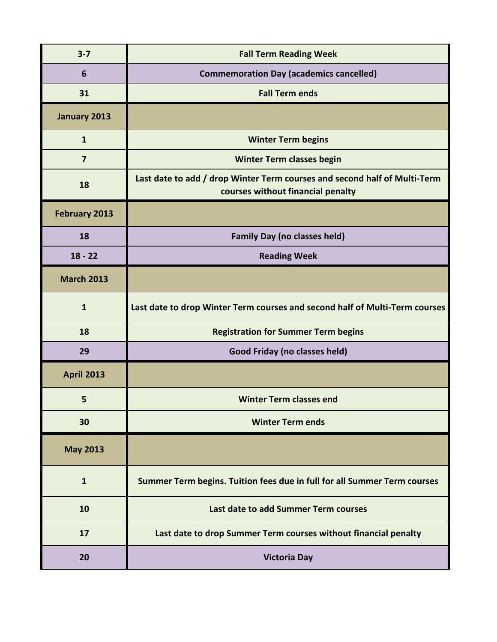| $3 - 7$              | <b>Fall Term Reading Week</b>                                                                                  |
|----------------------|----------------------------------------------------------------------------------------------------------------|
| 6                    | <b>Commemoration Day (academics cancelled)</b>                                                                 |
| 31                   | <b>Fall Term ends</b>                                                                                          |
| January 2013         |                                                                                                                |
| $\mathbf{1}$         | <b>Winter Term begins</b>                                                                                      |
| $\overline{7}$       | <b>Winter Term classes begin</b>                                                                               |
| 18                   | Last date to add / drop Winter Term courses and second half of Multi-Term<br>courses without financial penalty |
| <b>February 2013</b> |                                                                                                                |
| 18                   | <b>Family Day (no classes held)</b>                                                                            |
| $18 - 22$            | <b>Reading Week</b>                                                                                            |
| <b>March 2013</b>    |                                                                                                                |
| $\mathbf{1}$         | Last date to drop Winter Term courses and second half of Multi-Term courses                                    |
| 18                   | <b>Registration for Summer Term begins</b>                                                                     |
| 29                   | Good Friday (no classes held)                                                                                  |
| <b>April 2013</b>    |                                                                                                                |
| 5                    | <b>Winter Term classes end</b>                                                                                 |
| 30                   | <b>Winter Term ends</b>                                                                                        |
| <b>May 2013</b>      |                                                                                                                |
| $\mathbf{1}$         | Summer Term begins. Tuition fees due in full for all Summer Term courses                                       |
| 10                   | Last date to add Summer Term courses                                                                           |
| 17                   | Last date to drop Summer Term courses without financial penalty                                                |
| 20                   | <b>Victoria Day</b>                                                                                            |